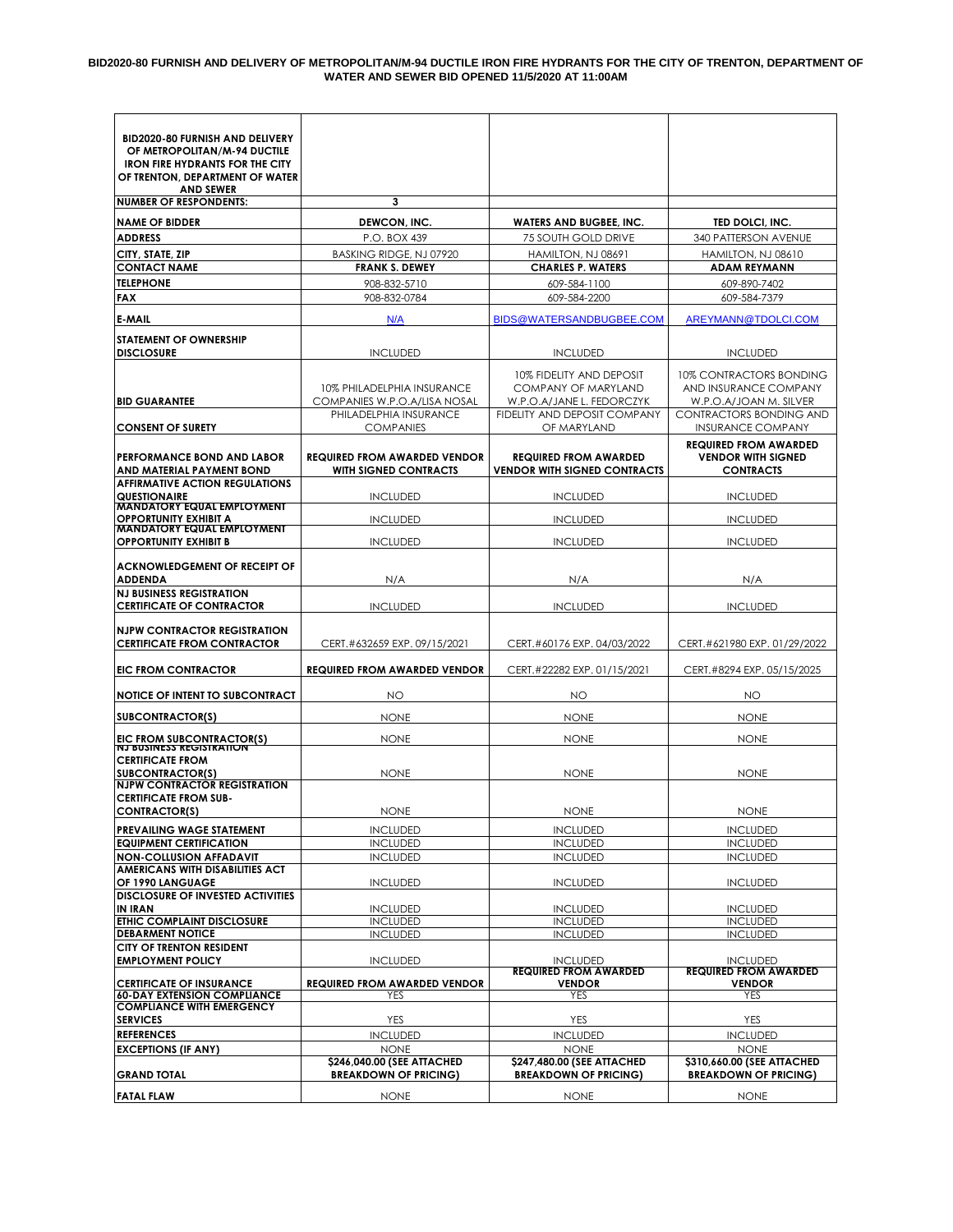#### **BID2020-80 FURNISH AND DELIVERY OF METROPOLITAN/M-94 DUCTILE IRON FIRE HYDRANTS FOR THE CITY OF TRENTON, DEPARTMENT OF WATER AND SEWER BID OPENED 11/5/2020 AT 11:00AM**

| <b>BID2020-80 FURNISH AND DELIVERY</b>                                 |                                                                     |                                                                     |                                               |  |
|------------------------------------------------------------------------|---------------------------------------------------------------------|---------------------------------------------------------------------|-----------------------------------------------|--|
| OF METROPOLITAN/M-94 DUCTILE                                           |                                                                     |                                                                     |                                               |  |
| <b>IRON FIRE HYDRANTS FOR THE CITY</b>                                 |                                                                     |                                                                     |                                               |  |
| OF TRENTON, DEPARTMENT OF WATER                                        |                                                                     |                                                                     |                                               |  |
| <b>AND SEWER</b><br><b>NUMBER OF RESPONDENTS:</b>                      | 3                                                                   |                                                                     |                                               |  |
| <b>NAME OF BIDDER</b>                                                  |                                                                     | <b>WATERS AND BUGBEE, INC.</b>                                      |                                               |  |
| <b>ADDRESS</b>                                                         | DEWCON, INC.<br>P.O. BOX 439                                        | 75 SOUTH GOLD DRIVE                                                 | TED DOLCI, INC.<br>340 PATTERSON AVENUE       |  |
|                                                                        |                                                                     |                                                                     |                                               |  |
| CITY, STATE, ZIP<br><b>CONTACT NAME</b>                                | BASKING RIDGE, NJ 07920<br><b>FRANK S. DEWEY</b>                    | HAMILTON, NJ 08691<br><b>CHARLES P. WATERS</b>                      | HAMILTON, NJ 08610<br><b>ADAM REYMANN</b>     |  |
| <b>TELEPHONE</b>                                                       | 908-832-5710                                                        | 609-584-1100                                                        | 609-890-7402                                  |  |
| FAX                                                                    | 908-832-0784                                                        | 609-584-2200                                                        | 609-584-7379                                  |  |
|                                                                        |                                                                     |                                                                     |                                               |  |
| <b>E-MAIL</b>                                                          | N/A                                                                 | BIDS@WATERSANDBUGBEE.COM                                            | AREYMANN@TDOLCI.COM                           |  |
| <b>STATEMENT OF OWNERSHIP</b><br><b>DISCLOSURE</b>                     | <b>INCLUDED</b>                                                     | <b>INCLUDED</b>                                                     | <b>INCLUDED</b>                               |  |
|                                                                        |                                                                     | 10% FIDELITY AND DEPOSIT                                            | 10% CONTRACTORS BONDING                       |  |
|                                                                        | 10% PHILADELPHIA INSURANCE                                          | <b>COMPANY OF MARYLAND</b>                                          | AND INSURANCE COMPANY                         |  |
| <b>BID GUARANTEE</b>                                                   | COMPANIES W.P.O.A/LISA NOSAL                                        | W.P.O.A/JANE L. FEDORCZYK                                           | W.P.O.A/JOAN M. SILVER                        |  |
|                                                                        | PHILADELPHIA INSURANCE                                              | FIDELITY AND DEPOSIT COMPANY                                        | CONTRACTORS BONDING AND                       |  |
| <b>CONSENT OF SURETY</b>                                               | <b>COMPANIES</b>                                                    | OF MARYLAND                                                         | <b>INSURANCE COMPANY</b>                      |  |
| PERFORMANCE BOND AND LABOR                                             |                                                                     |                                                                     | <b>REQUIRED FROM AWARDED</b>                  |  |
| AND MATERIAL PAYMENT BOND                                              | <b>REQUIRED FROM AWARDED VENDOR</b><br><b>WITH SIGNED CONTRACTS</b> | <b>REQUIRED FROM AWARDED</b><br><b>VENDOR WITH SIGNED CONTRACTS</b> | <b>VENDOR WITH SIGNED</b><br><b>CONTRACTS</b> |  |
| <b>AFFIRMATIVE ACTION REGULATIONS</b>                                  |                                                                     |                                                                     |                                               |  |
| <b>QUESTION AIRE</b>                                                   | <b>INCLUDED</b>                                                     | <b>INCLUDED</b>                                                     | <b>INCLUDED</b>                               |  |
| <b>MANDATORY EQUAL EMPLOYMENT</b><br>OPPORTUNITY EXHIBIT A             | <b>INCLUDED</b>                                                     | <b>INCLUDED</b>                                                     | <b>INCLUDED</b>                               |  |
| <b>MANDATORY EQUAL EMPLOYMENT</b>                                      |                                                                     |                                                                     |                                               |  |
| <b>OPPORTUNITY EXHIBIT B</b>                                           | <b>INCLUDED</b>                                                     | <b>INCLUDED</b>                                                     | <b>INCLUDED</b>                               |  |
| <b>ACKNOWLEDGEMENT OF RECEIPT OF</b>                                   |                                                                     |                                                                     |                                               |  |
| <b>ADDENDA</b>                                                         | N/A                                                                 | N/A                                                                 | N/A                                           |  |
| <b>NJ BUSINESS REGISTRATION</b>                                        |                                                                     |                                                                     |                                               |  |
| <b>CERTIFICATE OF CONTRACTOR</b>                                       | <b>INCLUDED</b>                                                     | <b>INCLUDED</b>                                                     | <b>INCLUDED</b>                               |  |
| <b>NJPW CONTRACTOR REGISTRATION</b>                                    |                                                                     |                                                                     |                                               |  |
| <b>CERTIFICATE FROM CONTRACTOR</b>                                     | CERT.#632659 EXP. 09/15/2021                                        | CERT.#60176 EXP. 04/03/2022                                         | CERT.#621980 EXP. 01/29/2022                  |  |
|                                                                        |                                                                     |                                                                     |                                               |  |
| EIC FROM CONTRACTOR                                                    | <b>REQUIRED FROM AWARDED VENDOR</b>                                 | CERT.#22282 EXP. 01/15/2021                                         | CERT.#8294 EXP. 05/15/2025                    |  |
| <b>NOTICE OF INTENT TO SUBCONTRACT</b>                                 | NO                                                                  | <b>NO</b>                                                           | NO                                            |  |
| <b>SUBCONTRACTOR(S)</b>                                                | <b>NONE</b><br><b>NONE</b>                                          |                                                                     | <b>NONE</b>                                   |  |
|                                                                        |                                                                     |                                                                     |                                               |  |
| EIC FROM SUBCONTRACTOR(S)<br><b>NJ BUSINESS REGISTRATION</b>           | <b>NONE</b>                                                         | <b>NONE</b>                                                         | <b>NONE</b>                                   |  |
| <b>CERTIFICATE FROM</b>                                                |                                                                     |                                                                     |                                               |  |
| <b>SUBCONTRACTOR(S)</b><br><b>NJPW CONTRACTOR REGISTRATION</b>         | <b>NONE</b>                                                         | <b>NONE</b>                                                         | <b>NONE</b>                                   |  |
| <b>CERTIFICATE FROM SUB-</b>                                           |                                                                     |                                                                     |                                               |  |
| <b>CONTRACTOR(S)</b>                                                   | <b>NONE</b>                                                         | NONE                                                                | <b>NONE</b>                                   |  |
| PREVAILING WAGE STATEMENT                                              | <b>INCLUDED</b>                                                     | <b>INCLUDED</b>                                                     | <b>INCLUDED</b>                               |  |
| <b>EQUIPMENT CERTIFICATION</b>                                         | <b>INCLUDED</b>                                                     | <b>INCLUDED</b>                                                     | <b>INCLUDED</b>                               |  |
| <b>NON-COLLUSION AFFADAVIT</b>                                         | <b>INCLUDED</b>                                                     | <b>INCLUDED</b>                                                     | <b>INCLUDED</b>                               |  |
| AMERICANS WITH DISABILITIES ACT<br>OF 1990 LANGUAGE                    |                                                                     |                                                                     |                                               |  |
| <b>DISCLOSURE OF INVESTED ACTIVITIES</b>                               | <b>INCLUDED</b>                                                     | <b>INCLUDED</b>                                                     | <b>INCLUDED</b>                               |  |
| <b>IN IRAN</b>                                                         | <b>INCLUDED</b>                                                     | <b>INCLUDED</b>                                                     | <b>INCLUDED</b>                               |  |
| ETHIC COMPLAINT DISCLOSURE                                             | <b>INCLUDED</b>                                                     | <b>INCLUDED</b>                                                     | <b>INCLUDED</b>                               |  |
| <b>DEBARMENT NOTICE</b>                                                | <b>INCLUDED</b>                                                     | <b>INCLUDED</b>                                                     | <b>INCLUDED</b>                               |  |
| <b>CITY OF TRENTON RESIDENT</b><br><b>EMPLOYMENT POLICY</b>            | <b>INCLUDED</b>                                                     | <b>INCLUDED</b>                                                     | <b>INCLUDED</b>                               |  |
|                                                                        |                                                                     | <b>REQUIRED FROM AWARDED</b>                                        | <b>REQUIRED FROM AWARDED</b>                  |  |
| <b>CERTIFICATE OF INSURANCE</b>                                        | <b>REQUIRED FROM AWARDED VENDOR</b>                                 | <b>VENDOR</b>                                                       | <b>VENDOR</b>                                 |  |
| <b>60-DAY EXTENSION COMPLIANCE</b><br><b>COMPLIANCE WITH EMERGENCY</b> | YES                                                                 | YES                                                                 | YES                                           |  |
| <b>SERVICES</b>                                                        | YES                                                                 | YES                                                                 | YES                                           |  |
| <b>REFERENCES</b>                                                      | <b>INCLUDED</b>                                                     | <b>INCLUDED</b>                                                     | <b>INCLUDED</b>                               |  |
| <b>EXCEPTIONS (IF ANY)</b>                                             | <b>NONE</b>                                                         | <b>NONE</b>                                                         | <b>NONE</b>                                   |  |
|                                                                        | \$246,040.00 (SEE ATTACHED                                          | \$247,480.00 (SEE ATTACHED                                          | \$310,660.00 (SEE ATTACHED                    |  |
| <b>GRAND TOTAL</b>                                                     | <b>BREAKDOWN OF PRICING)</b>                                        | <b>BREAKDOWN OF PRICING)</b>                                        | <b>BREAKDOWN OF PRICING)</b>                  |  |
| <b>FATAL FLAW</b>                                                      | <b>NONE</b>                                                         | <b>NONE</b>                                                         | <b>NONE</b>                                   |  |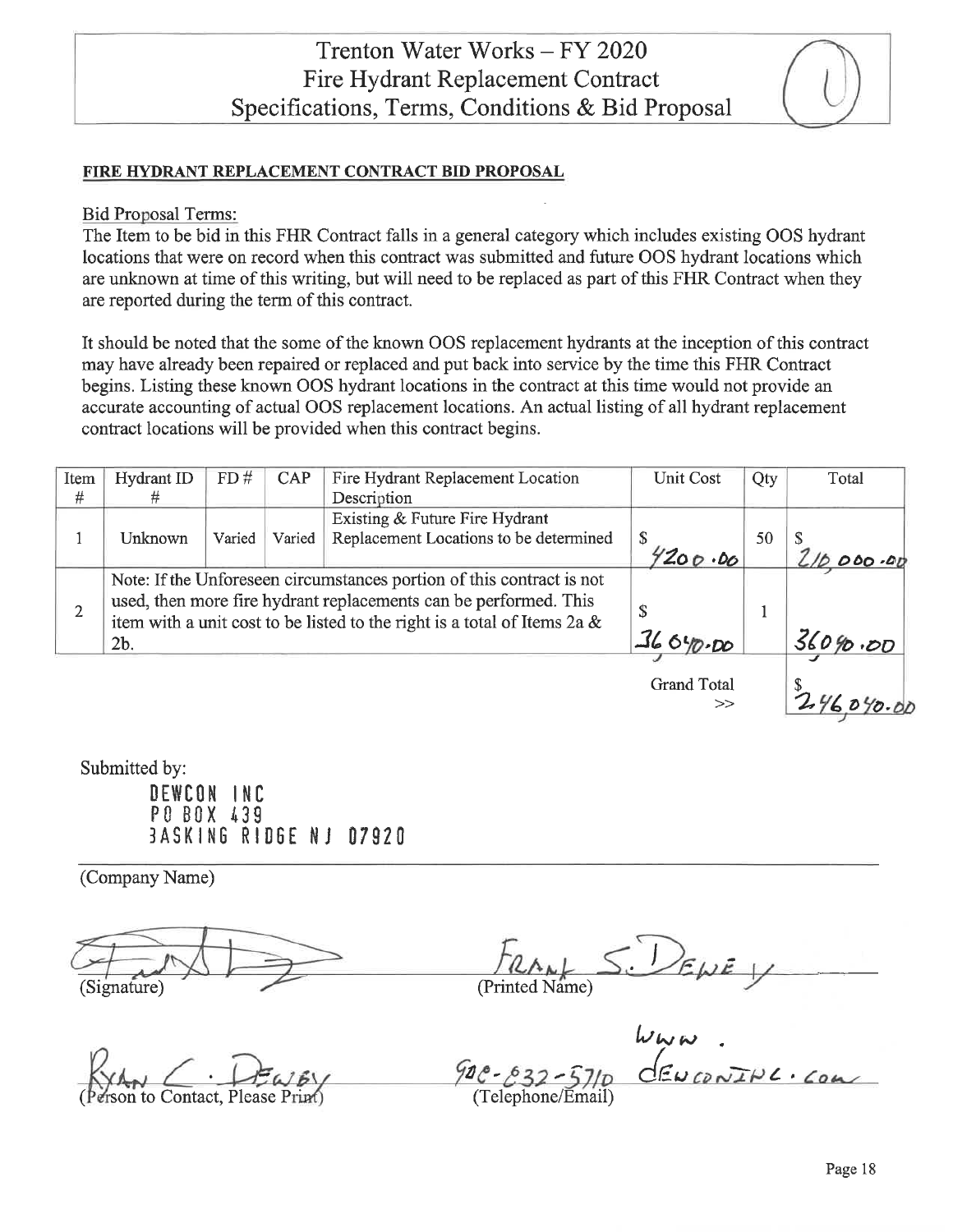# FIRE HYDRANT REPLACEMENT CONTRACT BID PROPOSAL

#### **Bid Proposal Terms:**

The Item to be bid in this FHR Contract falls in a general category which includes existing OOS hydrant locations that were on record when this contract was submitted and future OOS hydrant locations which are unknown at time of this writing, but will need to be replaced as part of this FHR Contract when they are reported during the term of this contract.

It should be noted that the some of the known OOS replacement hydrants at the inception of this contract may have already been repaired or replaced and put back into service by the time this FHR Contract begins. Listing these known OOS hydrant locations in the contract at this time would not provide an accurate accounting of actual OOS replacement locations. An actual listing of all hydrant replacement contract locations will be provided when this contract begins.

| Item | <b>Hydrant ID</b> | FD#    | <b>CAP</b> | Fire Hydrant Replacement Location                                        | <b>Unit Cost</b> | Qty | Total   |
|------|-------------------|--------|------------|--------------------------------------------------------------------------|------------------|-----|---------|
| #    | #                 |        |            | Description                                                              |                  |     |         |
|      |                   |        |            | Existing & Future Fire Hydrant                                           |                  |     |         |
|      | Unknown           | Varied | Varied     | Replacement Locations to be determined                                   | \$               | 50  |         |
|      |                   |        |            |                                                                          | 4200.00          |     |         |
|      |                   |        |            | Note: If the Unforeseen circumstances portion of this contract is not    |                  |     |         |
|      |                   |        |            | used, then more fire hydrant replacements can be performed. This         |                  |     |         |
|      |                   |        |            | item with a unit cost to be listed to the right is a total of Items 2a & |                  |     |         |
|      | 2 <sub>b</sub>    |        |            |                                                                          | 36 040.DO        |     | 360%.00 |
|      |                   |        |            |                                                                          |                  |     |         |

**Grand Total**  $\rightarrow$ 

Submitted by:

DEWCON INC PO BOX 439 **BASKING RIDGE NJ 07920** 

(Company Name)

(Signature)

(Printed Name)

to Contact, Please

 $900 - 632$ (Telephone/Email)

 $246,040.00$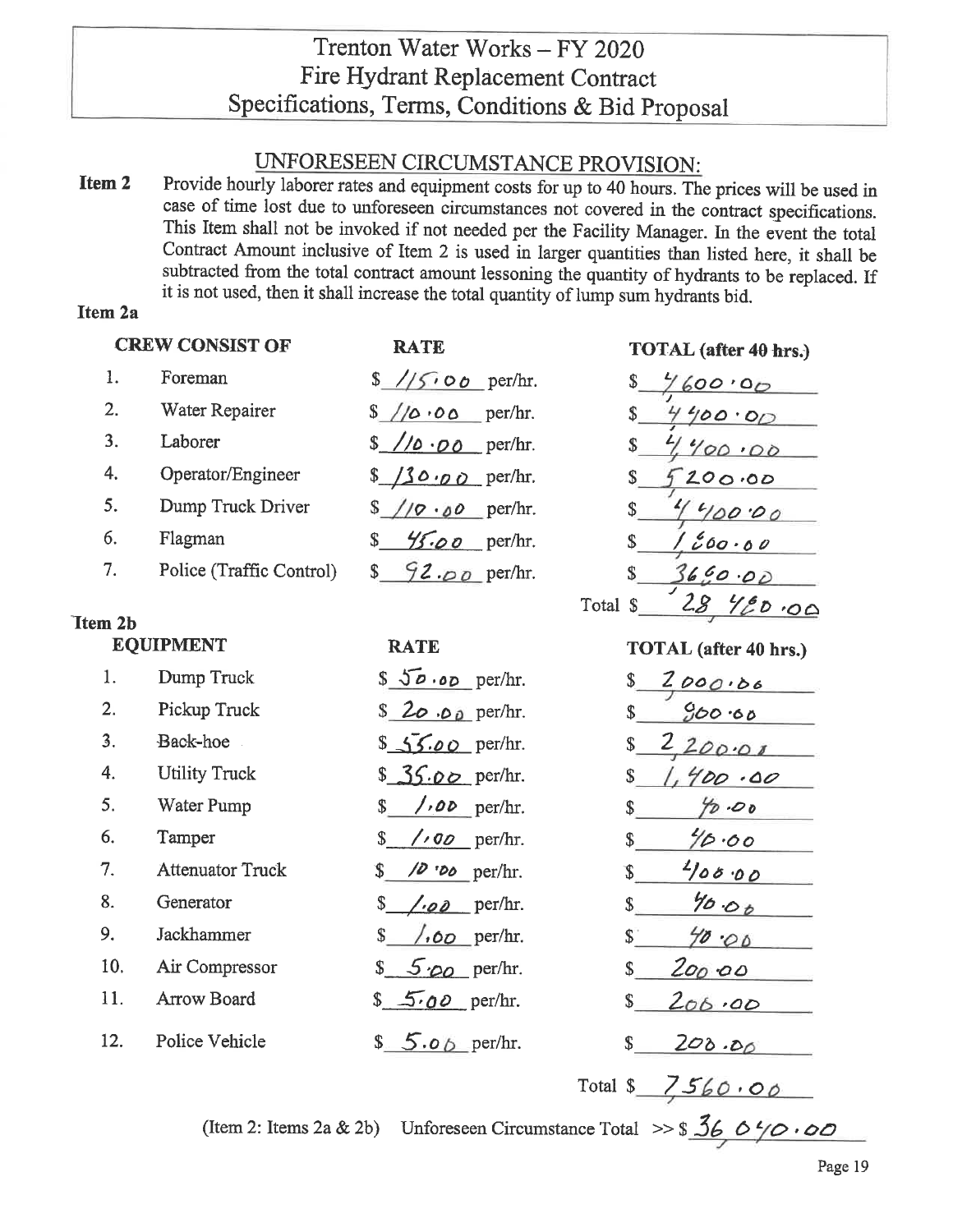# UNFORESEEN CIRCUMSTANCE PROVISION:

Provide hourly laborer rates and equipment costs for up to 40 hours. The prices will be used in Item 2 case of time lost due to unforeseen circumstances not covered in the contract specifications. This Item shall not be invoked if not needed per the Facility Manager. In the event the total Contract Amount inclusive of Item 2 is used in larger quantities than listed here, it shall be subtracted from the total contract amount lessoning the quantity of hydrants to be replaced. If it is not used, then it shall increase the total quantity of lump sum hydrants bid.

# **Item 2a**

|                | <b>CREW CONSIST OF</b>   | <b>RATE</b>                                  | TOTAL (after 40 hrs.)        |
|----------------|--------------------------|----------------------------------------------|------------------------------|
| 1.             | Foreman                  | $\frac{s}{s}$ // <i>s</i> o <i>b</i> per/hr. | 7600.00                      |
| 2.             | Water Repairer           | $\frac{s}{\sqrt{\omega}}$ o per/hr.          | \$<br>4400.00                |
| 3.             | Laborer                  | $\frac{\sqrt{6} \cdot 00}{\sqrt{2}}$ per/hr. | \$<br>4.400.00               |
| 4.             | Operator/Engineer        | $$130.00$ per/hr.                            | \$<br>200.00                 |
| 5.             | Dump Truck Driver        | $\sqrt{9.00}$ per/hr.                        | \$<br>4400.00                |
| 6.             | Flagman                  | $\frac{45.00}{\sqrt{10}}$ per/hr.<br>\$      | 1200.00<br>\$                |
| 7.             | Police (Traffic Control) | $$92.00$ per/hr.                             | $\mathbb{S}$<br>36000        |
|                |                          |                                              | 2846000<br>Total \$          |
| <b>Item 2b</b> |                          |                                              |                              |
|                | <b>EQUIPMENT</b>         | <b>RATE</b>                                  | <b>TOTAL</b> (after 40 hrs.) |
| 1.             | Dump Truck               | $$50.00$ per/hr.                             | \$<br>2000.06                |
| 2.             | Pickup Truck             | \$ 20 .00 per/hr.                            | 900.60<br>$\mathbb{S}$       |
| 3.             | Back-hoe                 | $$55.00$ per/hr.                             | 220000<br>$\mathbb{S}$       |
| 4.             | <b>Utility Truck</b>     | $$36.00$ per/hr.                             | 1,400.00<br>$\mathbb{S}$     |
| 5.             | Water Pump               | $/$ ,00 per/hr.<br>\$                        | 90.00<br>\$                  |
| 6.             | Tamper                   | $\sqrt{90}$ per/hr.<br>$\mathbb{S}$          | 40.00<br>\$                  |
| 7.             | <b>Attenuator Truck</b>  | $\sqrt{2}$ 'D <sub>0</sub> per/hr.<br>S.     | 400.00<br>\$                 |
| 8.             | Generator                | \$<br>$\angle$ .00 per/hr.                   | 40.00<br>$\mathbb{S}$        |
| 9.             | Jackhammer               | $\sqrt{60}$ per/hr.<br>\$                    | $\mathbb{S}^+$<br>4000       |
| 10.            | Air Compressor           | $$5\omega$ per/hr.                           | 200.00<br>\$                 |
| 11.            | Arrow Board              | $$5.00$ per/hr.                              | \$<br>206.00                 |
| 12.            | Police Vehicle           | $$5.06$ per/hr.                              | $\mathbb{S}$<br>208.00       |
|                |                          |                                              | Total \$ $7560.00$           |

(Item 2: Items 2a & 2b) Unforeseen Circumstance Total >>  $\frac{36}{16}$  0  $\frac{4}{0}$  0 0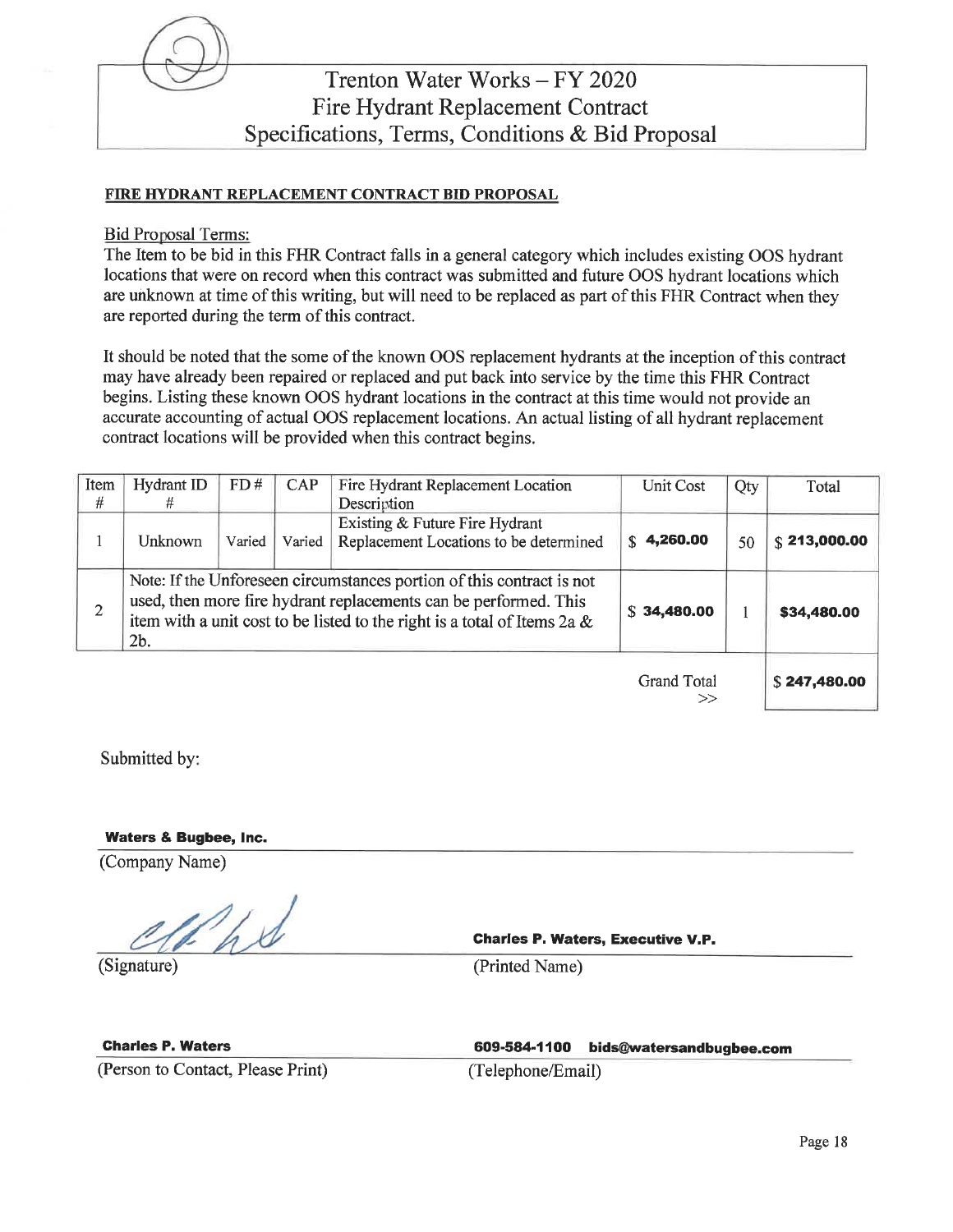

#### FIRE HYDRANT REPLACEMENT CONTRACT BID PROPOSAL

**Bid Proposal Terms:** 

The Item to be bid in this FHR Contract falls in a general category which includes existing OOS hydrant locations that were on record when this contract was submitted and future OOS hydrant locations which are unknown at time of this writing, but will need to be replaced as part of this FHR Contract when they are reported during the term of this contract.

It should be noted that the some of the known OOS replacement hydrants at the inception of this contract may have already been repaired or replaced and put back into service by the time this FHR Contract begins. Listing these known OOS hydrant locations in the contract at this time would not provide an accurate accounting of actual OOS replacement locations. An actual listing of all hydrant replacement contract locations will be provided when this contract begins.

| Item           | Hydrant ID                                                                                                                                                                                                                      | FD#    | <b>CAP</b> | Fire Hydrant Replacement Location                                        | Unit Cost          | Qty | Total        |
|----------------|---------------------------------------------------------------------------------------------------------------------------------------------------------------------------------------------------------------------------------|--------|------------|--------------------------------------------------------------------------|--------------------|-----|--------------|
| #              | #                                                                                                                                                                                                                               |        |            | Description                                                              |                    |     |              |
|                | Unknown                                                                                                                                                                                                                         | Varied | Varied     | Existing & Future Fire Hydrant<br>Replacement Locations to be determined | \$4,260.00         | 50  | \$213,000.00 |
| $\overline{2}$ | Note: If the Unforeseen circumstances portion of this contract is not<br>used, then more fire hydrant replacements can be performed. This<br>item with a unit cost to be listed to the right is a total of Items 2a &<br>$2b$ . |        |            |                                                                          | \$34,480.00        |     | \$34,480.00  |
|                |                                                                                                                                                                                                                                 |        |            |                                                                          | <b>Grand Total</b> |     | \$247,480.00 |

Submitted by:

**Waters & Bugbee, Inc.** 

(Company Name)

Phil

(Signature)

**Charles P. Waters, Executive V.P.** 

(Printed Name)

**Charles P. Waters** 

(Person to Contact, Please Print)

609-584-1100 bids@watersandbugbee.com

 $>$ 

(Telephone/Email)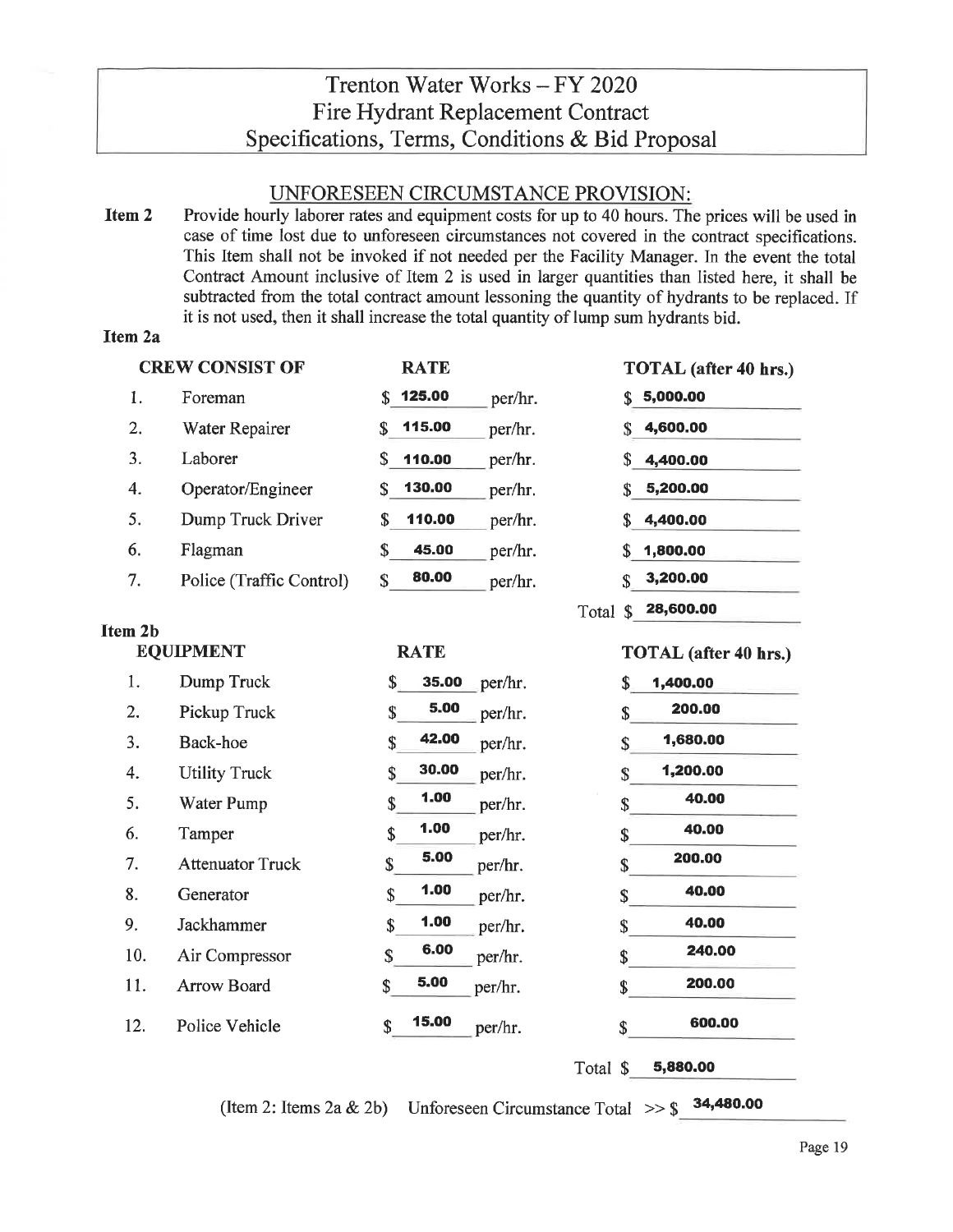# UNFORESEEN CIRCUMSTANCE PROVISION:

Item 2 Provide hourly laborer rates and equipment costs for up to 40 hours. The prices will be used in case of time lost due to unforeseen circumstances not covered in the contract specifications. This Item shall not be invoked if not needed per the Facility Manager. In the event the total Contract Amount inclusive of Item 2 is used in larger quantities than listed here, it shall be subtracted from the total contract amount lessoning the quantity of hydrants to be replaced. If it is not used, then it shall increase the total quantity of lump sum hydrants bid.

# Item 2a

|    | <b>CREW CONSIST OF</b>   | <b>RATE</b>  |         | TOTAL (after 40 hrs.)      |
|----|--------------------------|--------------|---------|----------------------------|
| 1. | Foreman                  | 125.00<br>S. | per/hr. | 5,000.00<br>S.             |
| 2. | Water Repairer           | 115.00<br>\$ | per/hr. | 4,600.00                   |
| 3. | Laborer                  | S<br>110.00  | per/hr. | 4,400.00<br>S.             |
| 4. | Operator/Engineer        | 130.00<br>S  | per/hr. | 5,200.00                   |
| 5. | Dump Truck Driver        | 110.00<br>\$ | per/hr. | 4,400.00<br>S.             |
| 6. | Flagman                  | \$<br>45.00  | per/hr. | 1,800.00<br>S.             |
| 7. | Police (Traffic Control) | 80.00<br>S   | per/hr. | 3,200.00<br>\$             |
|    |                          |              | Total   | 28,600.00<br><sup>\$</sup> |

**RATE** 

# Item 2b

# **EQUIPMENT**

| 1.  | Dump Truck              | \$<br>35.00<br>per/hr.         | \$<br>1,400.00 |
|-----|-------------------------|--------------------------------|----------------|
| 2.  | Pickup Truck            | 5.00<br>\$<br>per/hr.          | 200.00<br>\$   |
| 3.  | Back-hoe                | 42.00<br>\$<br>per/hr.         | 1,680.00<br>\$ |
| 4.  | <b>Utility Truck</b>    | 30.00<br>\$<br>per/hr.         | 1,200.00<br>\$ |
| 5.  | Water Pump              | 1.00<br>\$<br>per/hr.          | 40.00<br>\$    |
| 6.  | Tamper                  | 1.00<br>\$<br>per/hr.          | 40.00<br>\$    |
| 7.  | <b>Attenuator Truck</b> | 5.00<br>\$<br>per/hr.          | 200.00<br>\$   |
| 8.  | Generator               | 1.00<br>\$<br>per/hr.          | 40.00<br>\$    |
| 9.  | Jackhammer              | 1.00<br>$\mathbf S$<br>per/hr. | 40.00<br>\$    |
| 10. | Air Compressor          | 6.00<br>\$<br>per/hr.          | 240.00<br>\$   |
| 11. | <b>Arrow Board</b>      | 5.00<br>\$<br>per/hr.          | 200.00<br>\$   |
| 12. | Police Vehicle          | 15.00<br>\$<br>per/hr.         | 600.00<br>S    |

Total \$ 5,880.00

**TOTAL** (after 40 hrs.)

(Item 2: Items 2a & 2b) Unforeseen Circumstance Total  $\gg$  \$ 34,480.00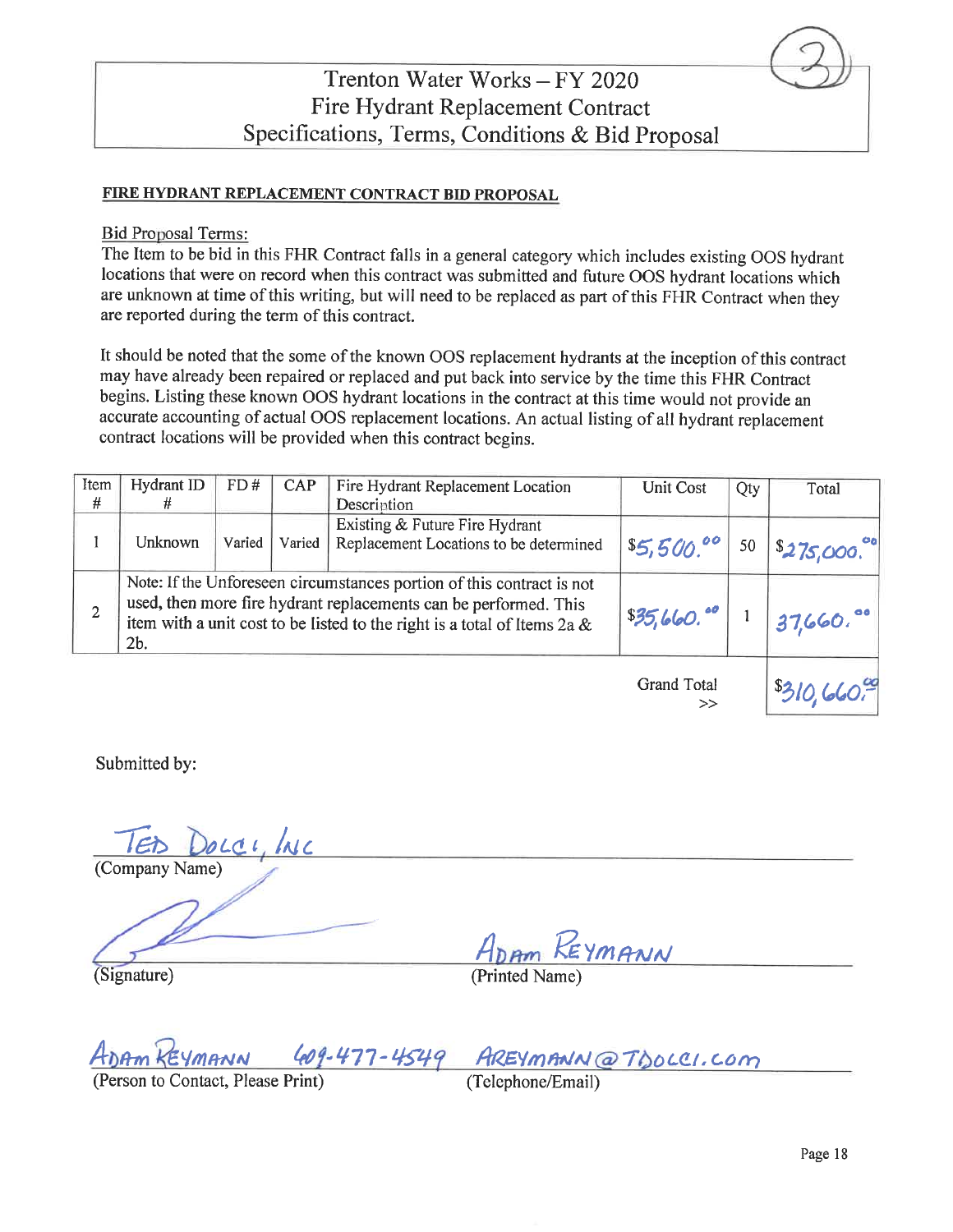### FIRE HYDRANT REPLACEMENT CONTRACT BID PROPOSAL

#### **Bid Proposal Terms:**

The Item to be bid in this FHR Contract falls in a general category which includes existing OOS hydrant locations that were on record when this contract was submitted and future OOS hydrant locations which are unknown at time of this writing, but will need to be replaced as part of this FHR Contract when they are reported during the term of this contract.

It should be noted that the some of the known OOS replacement hydrants at the inception of this contract may have already been repaired or replaced and put back into service by the time this FHR Contract begins. Listing these known OOS hydrant locations in the contract at this time would not provide an accurate accounting of actual OOS replacement locations. An actual listing of all hydrant replacement contract locations will be provided when this contract begins.

| Item | Hydrant ID                                                                                                                                                                                                                              | FD#    | <b>CAP</b> | Fire Hydrant Replacement Location                                        | Unit Cost                                    | Qty | Total                     |
|------|-----------------------------------------------------------------------------------------------------------------------------------------------------------------------------------------------------------------------------------------|--------|------------|--------------------------------------------------------------------------|----------------------------------------------|-----|---------------------------|
| #    |                                                                                                                                                                                                                                         |        |            | Description                                                              |                                              |     |                           |
|      | Unknown                                                                                                                                                                                                                                 | Varied | Varied     | Existing & Future Fire Hydrant<br>Replacement Locations to be determined | \$5,500.00                                   | 50  | \$275,000.                |
| 2    | Note: If the Unforeseen circumstances portion of this contract is not<br>used, then more fire hydrant replacements can be performed. This<br>item with a unit cost to be listed to the right is a total of Items 2a &<br>2 <sub>b</sub> |        | \$35,660.  |                                                                          | $137,660.$ <sup>oo</sup>                     |     |                           |
|      |                                                                                                                                                                                                                                         |        |            |                                                                          | $\Omega_{\rm max}$ at $\Gamma_{\rm max}$ and |     | $\mathbf{a}$ $\mathbf{b}$ |

Grand Total  $\rightarrow$ 

Submitted by:

Docci, INC

(Company Name)

(Signature)

EYMANN

(Printed Name)

AREYMANN@TDOLCI.COM 77-4549

(Person to Contact, Please Print)

(Telephone/Email)

 $30,660$